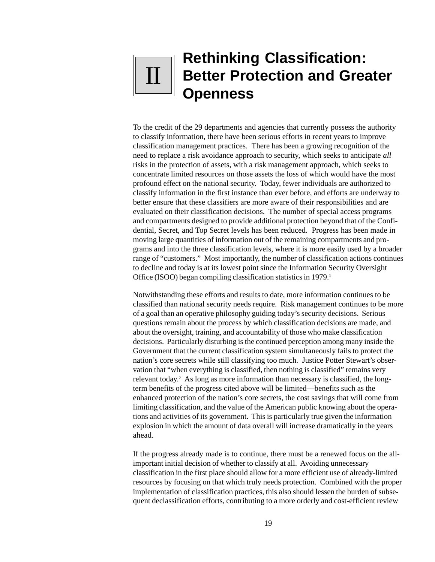# **Rethinking Classification: Better Protection and Greater Openness** II

To the credit of the 29 departments and agencies that currently possess the authority to classify information, there have been serious efforts in recent years to improve classification management practices. There has been a growing recognition of the need to replace a risk avoidance approach to security, which seeks to anticipate *all* risks in the protection of assets, with a risk management approach, which seeks to concentrate limited resources on those assets the loss of which would have the most profound effect on the national security. Today, fewer individuals are authorized to classify information in the first instance than ever before, and efforts are underway to better ensure that these classifiers are more aware of their responsibilities and are evaluated on their classification decisions. The number of special access programs and compartments designed to provide additional protection beyond that of the Confidential, Secret, and Top Secret levels has been reduced. Progress has been made in moving large quantities of information out of the remaining compartments and programs and into the three classification levels, where it is more easily used by a broader range of "customers." Most importantly, the number of classification actions continues to decline and today is at its lowest point since the Information Security Oversight Office (ISOO) began compiling classification statistics in 1979.1

Notwithstanding these efforts and results to date, more information continues to be classified than national security needs require. Risk management continues to be more of a goal than an operative philosophy guiding today's security decisions. Serious questions remain about the process by which classification decisions are made, and about the oversight, training, and accountability of those who make classification decisions. Particularly disturbing is the continued perception among many inside the Government that the current classification system simultaneously fails to protect the nation's core secrets while still classifying too much. Justice Potter Stewart's observation that "when everything is classified, then nothing is classified" remains very relevant today.<sup>2</sup> As long as more information than necessary is classified, the longterm benefits of the progress cited above will be limited—benefits such as the enhanced protection of the nation's core secrets, the cost savings that will come from limiting classification, and the value of the American public knowing about the operations and activities of its government. This is particularly true given the information explosion in which the amount of data overall will increase dramatically in the years ahead.

If the progress already made is to continue, there must be a renewed focus on the allimportant initial decision of whether to classify at all. Avoiding unnecessary classification in the first place should allow for a more efficient use of already-limited resources by focusing on that which truly needs protection. Combined with the proper implementation of classification practices, this also should lessen the burden of subsequent declassification efforts, contributing to a more orderly and cost-efficient review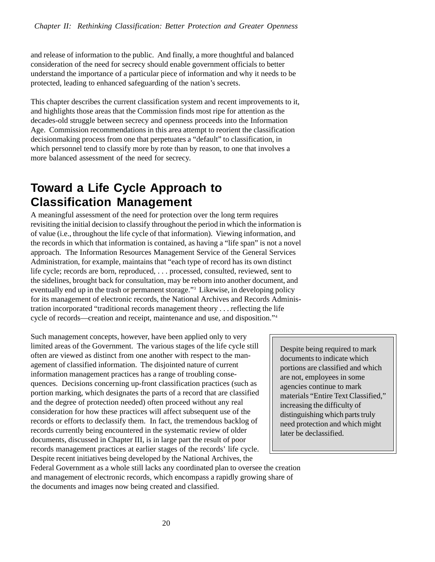and release of information to the public. And finally, a more thoughtful and balanced consideration of the need for secrecy should enable government officials to better understand the importance of a particular piece of information and why it needs to be protected, leading to enhanced safeguarding of the nation's secrets.

This chapter describes the current classification system and recent improvements to it, and highlights those areas that the Commission finds most ripe for attention as the decades-old struggle between secrecy and openness proceeds into the Information Age. Commission recommendations in this area attempt to reorient the classification decisionmaking process from one that perpetuates a "default" to classification, in which personnel tend to classify more by rote than by reason, to one that involves a more balanced assessment of the need for secrecy.

# **Toward a Life Cycle Approach to Classification Management**

A meaningful assessment of the need for protection over the long term requires revisiting the initial decision to classify throughout the period in which the information is of value (i.e., throughout the life cycle of that information). Viewing information, and the records in which that information is contained, as having a "life span" is not a novel approach. The Information Resources Management Service of the General Services Administration, for example, maintains that "each type of record has its own distinct life cycle; records are born, reproduced, . . . processed, consulted, reviewed, sent to the sidelines, brought back for consultation, may be reborn into another document, and eventually end up in the trash or permanent storage."<sup>3</sup> Likewise, in developing policy for its management of electronic records, the National Archives and Records Administration incorporated "traditional records management theory . . . reflecting the life cycle of records—creation and receipt, maintenance and use, and disposition."4

Such management concepts, however, have been applied only to very limited areas of the Government. The various stages of the life cycle still often are viewed as distinct from one another with respect to the management of classified information. The disjointed nature of current information management practices has a range of troubling consequences. Decisions concerning up-front classification practices (such as portion marking, which designates the parts of a record that are classified and the degree of protection needed) often proceed without any real consideration for how these practices will affect subsequent use of the records or efforts to declassify them. In fact, the tremendous backlog of records currently being encountered in the systematic review of older documents, discussed in Chapter III, is in large part the result of poor records management practices at earlier stages of the records' life cycle. Despite recent initiatives being developed by the National Archives, the

Despite being required to mark documents to indicate which portions are classified and which are not, employees in some agencies continue to mark materials "Entire Text Classified," increasing the difficulty of distinguishing which parts truly need protection and which might later be declassified.

Federal Government as a whole still lacks any coordinated plan to oversee the creation and management of electronic records, which encompass a rapidly growing share of the documents and images now being created and classified.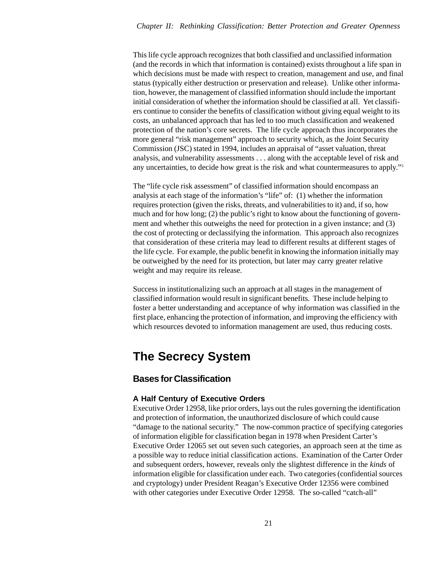This life cycle approach recognizes that both classified and unclassified information (and the records in which that information is contained) exists throughout a life span in which decisions must be made with respect to creation, management and use, and final status (typically either destruction or preservation and release). Unlike other information, however, the management of classified information should include the important initial consideration of whether the information should be classified at all. Yet classifiers continue to consider the benefits of classification without giving equal weight to its costs, an unbalanced approach that has led to too much classification and weakened protection of the nation's core secrets.The life cycle approach thus incorporates the more general "risk management" approach to security which, as the Joint Security Commission (JSC) stated in 1994, includes an appraisal of "asset valuation, threat analysis, and vulnerability assessments . . . along with the acceptable level of risk and any uncertainties, to decide how great is the risk and what countermeasures to apply."5

The "life cycle risk assessment" of classified information should encompass an analysis at each stage of the information's "life" of: (1) whether the information requires protection (given the risks, threats, and vulnerabilities to it) and, if so, how much and for how long; (2) the public's right to know about the functioning of government and whether this outweighs the need for protection in a given instance; and (3) the cost of protecting or declassifying the information. This approach also recognizes that consideration of these criteria may lead to different results at different stages of the life cycle. For example, the public benefit in knowing the information initially may be outweighed by the need for its protection, but later may carry greater relative weight and may require its release.

Success in institutionalizing such an approach at all stages in the management of classified information would result in significant benefits. These include helping to foster a better understanding and acceptance of why information was classified in the first place, enhancing the protection of information, and improving the efficiency with which resources devoted to information management are used, thus reducing costs.

# **The Secrecy System**

## **Bases for Classification**

## **A Half Century of Executive Orders**

Executive Order 12958, like prior orders, lays out the rules governing the identification and protection of information, the unauthorized disclosure of which could cause "damage to the national security." The now-common practice of specifying categories of information eligible for classification began in 1978 when President Carter's Executive Order 12065 set out seven such categories, an approach seen at the time as a possible way to reduce initial classification actions. Examination of the Carter Order and subsequent orders, however, reveals only the slightest difference in the *kinds* of information eligible for classification under each. Two categories (confidential sources and cryptology) under President Reagan's Executive Order 12356 were combined with other categories under Executive Order 12958. The so-called "catch-all"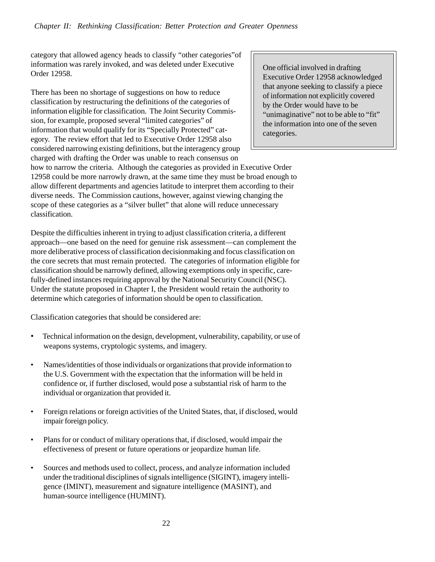category that allowed agency heads to classify "other categories"of information was rarely invoked, and was deleted under Executive Order 12958.

There has been no shortage of suggestions on how to reduce classification by restructuring the definitions of the categories of information eligible for classification. The Joint Security Commission, for example, proposed several "limited categories" of information that would qualify for its "Specially Protected" category. The review effort that led to Executive Order 12958 also considered narrowing existing definitions, but the interagency group charged with drafting the Order was unable to reach consensus on

One official involved in drafting Executive Order 12958 acknowledged that anyone seeking to classify a piece of information not explicitly covered by the Order would have to be "unimaginative" not to be able to "fit" the information into one of the seven categories.

how to narrow the criteria.Although the categories as provided in Executive Order 12958 could be more narrowly drawn, at the same time they must be broad enough to allow different departments and agencies latitude to interpret them according to their diverse needs. The Commission cautions, however, against viewing changing the scope of these categories as a "silver bullet" that alone will reduce unnecessary classification.

Despite the difficulties inherent in trying to adjust classification criteria*,* a different approach—one based on the need for genuine risk assessment—can complement the more deliberative process of classification decisionmaking and focus classification on the core secrets that must remain protected. The categories of information eligible for classification should be narrowly defined, allowing exemptions only in specific, carefully-defined instances requiring approval by the National Security Council (NSC). Under the statute proposed in Chapter I, the President would retain the authority to determine which categories of information should be open to classification.

Classification categories that should be considered are:

- Technical information on the design, development, vulnerability, capability, or use of weapons systems, cryptologic systems, and imagery.
- Names/identities of those individuals or organizations that provide information to the U.S. Government with the expectation that the information will be held in confidence or, if further disclosed, would pose a substantial risk of harm to the individual or organization that provided it.
- Foreign relations or foreign activities of the United States, that, if disclosed, would impair foreign policy.
- Plans for or conduct of military operations that, if disclosed, would impair the effectiveness of present or future operations or jeopardize human life.
- Sources and methods used to collect, process, and analyze information included under the traditional disciplines of signals intelligence (SIGINT), imagery intelligence (IMINT), measurement and signature intelligence (MASINT), and human-source intelligence (HUMINT).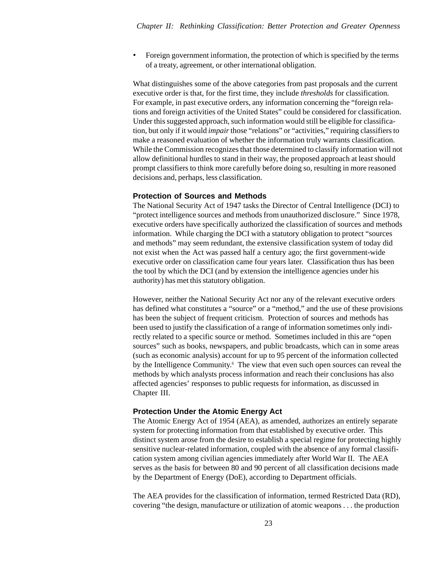• Foreign government information, the protection of which is specified by the terms of a treaty, agreement, or other international obligation.

What distinguishes some of the above categories from past proposals and the current executive order is that, for the first time, they include *thresholds* for classification. For example, in past executive orders, any information concerning the "foreign relations and foreign activities of the United States" could be considered for classification. Under this suggested approach, such information would still be eligible for classification, but only if it would *impair* those "relations" or "activities," requiring classifiers to make a reasoned evaluation of whether the information truly warrants classification. While the Commission recognizes that those determined to classify information will not allow definitional hurdles to stand in their way, the proposed approach at least should prompt classifiers to think more carefully before doing so, resulting in more reasoned decisions and, perhaps, less classification.

#### **Protection of Sources and Methods**

The National Security Act of 1947 tasks the Director of Central Intelligence (DCI) to "protect intelligence sources and methods from unauthorized disclosure." Since 1978, executive orders have specifically authorized the classification of sources and methods information. While charging the DCI with a statutory obligation to protect "sources and methods" may seem redundant, the extensive classification system of today did not exist when the Act was passed half a century ago; the first government-wide executive order on classification came four years later. Classification thus has been the tool by which the DCI (and by extension the intelligence agencies under his authority) has met this statutory obligation.

However, neither the National Security Act nor any of the relevant executive orders has defined what constitutes a "source" or a "method," and the use of these provisions has been the subject of frequent criticism. Protection of sources and methods has been used to justify the classification of a range of information sometimes only indirectly related to a specific source or method. Sometimes included in this are "open sources" such as books, newspapers, and public broadcasts, which can in some areas (such as economic analysis) account for up to 95 percent of the information collected by the Intelligence Community.<sup>6</sup> The view that even such open sources can reveal the methods by which analysts process information and reach their conclusions has also affected agencies' responses to public requests for information, as discussed in Chapter III.

#### **Protection Under the Atomic Energy Act**

The Atomic Energy Act of 1954 (AEA), as amended, authorizes an entirely separate system for protecting information from that established by executive order. This distinct system arose from the desire to establish a special regime for protecting highly sensitive nuclear-related information, coupled with the absence of any formal classification system among civilian agencies immediately after World War II. The AEA serves as the basis for between 80 and 90 percent of all classification decisions made by the Department of Energy (DoE), according to Department officials.

The AEA provides for the classification of information, termed Restricted Data (RD), covering "the design, manufacture or utilization of atomic weapons . . . the production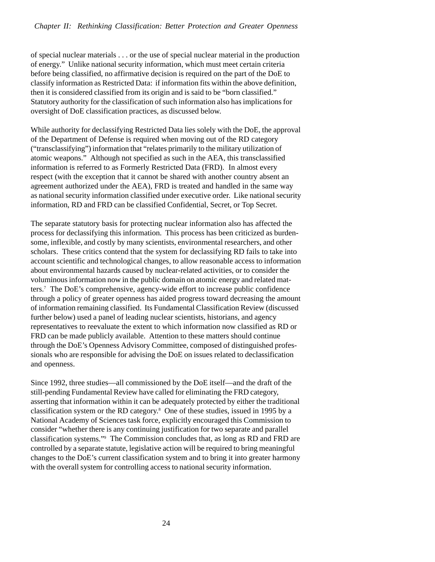of special nuclear materials . . . or the use of special nuclear material in the production of energy." Unlike national security information, which must meet certain criteria before being classified, no affirmative decision is required on the part of the DoE to classify information as Restricted Data: if information fits within the above definition, then it is considered classified from its origin and is said to be "born classified." Statutory authority for the classification of such information also has implications for oversight of DoE classification practices, as discussed below.

While authority for declassifying Restricted Data lies solely with the DoE, the approval of the Department of Defense is required when moving out of the RD category ("transclassifying") information that "relates primarily to the military utilization of atomic weapons." Although not specified as such in the AEA, this transclassified information is referred to as Formerly Restricted Data (FRD). In almost every respect (with the exception that it cannot be shared with another country absent an agreement authorized under the AEA), FRD is treated and handled in the same way as national security information classified under executive order. Like national security information, RD and FRD can be classified Confidential, Secret, or Top Secret.

The separate statutory basis for protecting nuclear information also has affected the process for declassifying this information. This process has been criticized as burdensome, inflexible, and costly by many scientists, environmental researchers, and other scholars. These critics contend that the system for declassifying RD fails to take into account scientific and technological changes, to allow reasonable access to information about environmental hazards caused by nuclear-related activities, or to consider the voluminous information now in the public domain on atomic energy and related matters.7 The DoE's comprehensive, agency-wide effort to increase public confidence through a policy of greater openness has aided progress toward decreasing the amount of information remaining classified. Its Fundamental Classification Review (discussed further below) used a panel of leading nuclear scientists, historians, and agency representatives to reevaluate the extent to which information now classified as RD or FRD can be made publicly available. Attention to these matters should continue through the DoE's Openness Advisory Committee, composed of distinguished professionals who are responsible for advising the DoE on issues related to declassification and openness.

Since 1992, three studies—all commissioned by the DoE itself—and the draft of the still-pending Fundamental Review have called for eliminating the FRD category, asserting that information within it can be adequately protected by either the traditional classification system or the RD category.8 One of these studies, issued in 1995 by a National Academy of Sciences task force, explicitly encouraged this Commission to consider "whether there is any continuing justification for two separate and parallel classification systems."9 The Commission concludes that, as long as RD and FRD are controlled by a separate statute, legislative action will be required to bring meaningful changes to the DoE's current classification system and to bring it into greater harmony with the overall system for controlling access to national security information.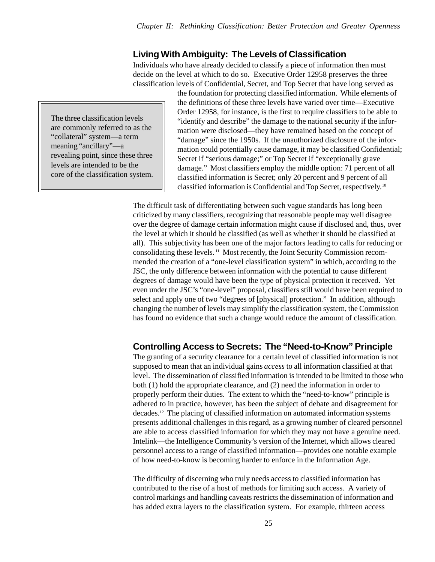## **Living With Ambiguity: The Levels of Classification**

Individuals who have already decided to classify a piece of information then must decide on the level at which to do so. Executive Order 12958 preserves the three classification levels of Confidential, Secret, and Top Secret that have long served as

The three classification levels are commonly referred to as the "collateral" system—a term meaning "ancillary"—a revealing point, since these three levels are intended to be the core of the classification system. the foundation for protecting classified information. While elements of the definitions of these three levels have varied over time—Executive Order 12958, for instance, is the first to require classifiers to be able to "identify and describe" the damage to the national security if the information were disclosed—they have remained based on the concept of "damage" since the 1950s. If the unauthorized disclosure of the information could potentially cause damage, it may be classified Confidential; Secret if "serious damage;" or Top Secret if "exceptionally grave damage." Most classifiers employ the middle option: 71 percent of all classified information is Secret; only 20 percent and 9 percent of all classified information is Confidential and Top Secret, respectively.10

The difficult task of differentiating between such vague standards has long been criticized by many classifiers, recognizing that reasonable people may well disagree over the degree of damage certain information might cause if disclosed and, thus, over the level at which it should be classified (as well as whether it should be classified at all). This subjectivity has been one of the major factors leading to calls for reducing or consolidating these levels. 11 Most recently, the Joint Security Commission recommended the creation of a "one-level classification system" in which, according to the JSC, the only difference between information with the potential to cause different degrees of damage would have been the type of physical protection it received. Yet even under the JSC's "one-level" proposal, classifiers still would have been required to select and apply one of two "degrees of [physical] protection." In addition, although changing the number of levels may simplify the classification system, the Commission has found no evidence that such a change would reduce the amount of classification.

## **Controlling Access to Secrets: The "Need-to-Know" Principle**

The granting of a security clearance for a certain level of classified information is not supposed to mean that an individual gains *access* to all information classified at that level. The dissemination of classified information is intended to be limited to those who both (1) hold the appropriate clearance, and (2) need the information in order to properly perform their duties. The extent to which the "need-to-know" principle is adhered to in practice, however, has been the subject of debate and disagreement for decades.12 The placing of classified information on automated information systems presents additional challenges in this regard, as a growing number of cleared personnel are able to access classified information for which they may not have a genuine need. Intelink—the Intelligence Community's version of the Internet, which allows cleared personnel access to a range of classified information—provides one notable example of how need-to-know is becoming harder to enforce in the Information Age.

The difficulty of discerning who truly needs access to classified information has contributed to the rise of a host of methods for limiting such access. A variety of control markings and handling caveats restricts the dissemination of information and has added extra layers to the classification system. For example, thirteen access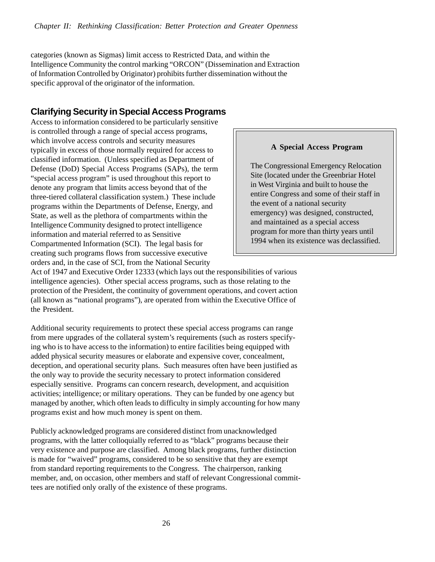categories (known as Sigmas) limit access to Restricted Data, and within the Intelligence Community the control marking "ORCON" (Dissemination and Extraction of Information Controlled by Originator) prohibits further dissemination without the specific approval of the originator of the information.

## **Clarifying Security in Special Access Programs**

Access to information considered to be particularly sensitive is controlled through a range of special access programs, which involve access controls and security measures typically in excess of those normally required for access to classified information. (Unless specified as Department of Defense (DoD) Special Access Programs (SAPs), the term "special access program" is used throughout this report to denote any program that limits access beyond that of the three-tiered collateral classification system.) These include programs within the Departments of Defense, Energy, and State, as well as the plethora of compartments within the Intelligence Community designed to protect intelligence information and material referred to as Sensitive Compartmented Information (SCI). The legal basis for creating such programs flows from successive executive orders and, in the case of SCI, from the National Security

#### **A Special Access Program**

The Congressional Emergency Relocation Site (located under the Greenbriar Hotel in West Virginia and built to house the entire Congress and some of their staff in the event of a national security emergency) was designed, constructed, and maintained as a special access program for more than thirty years until 1994 when its existence was declassified.

Act of 1947 and Executive Order 12333 (which lays out the responsibilities of various intelligence agencies). Other special access programs, such as those relating to the protection of the President, the continuity of government operations, and covert action (all known as "national programs"), are operated from within the Executive Office of the President.

Additional security requirements to protect these special access programs can range from mere upgrades of the collateral system's requirements (such as rosters specifying who is to have access to the information) to entire facilities being equipped with added physical security measures or elaborate and expensive cover, concealment, deception, and operational security plans. Such measures often have been justified as the only way to provide the security necessary to protect information considered especially sensitive. Programs can concern research, development, and acquisition activities; intelligence; or military operations. They can be funded by one agency but managed by another, which often leads to difficulty in simply accounting for how many programs exist and how much money is spent on them.

Publicly acknowledged programs are considered distinct from unacknowledged programs, with the latter colloquially referred to as "black" programs because their very existence and purpose are classified. Among black programs, further distinction is made for "waived" programs, considered to be so sensitive that they are exempt from standard reporting requirements to the Congress. The chairperson, ranking member, and, on occasion, other members and staff of relevant Congressional committees are notified only orally of the existence of these programs.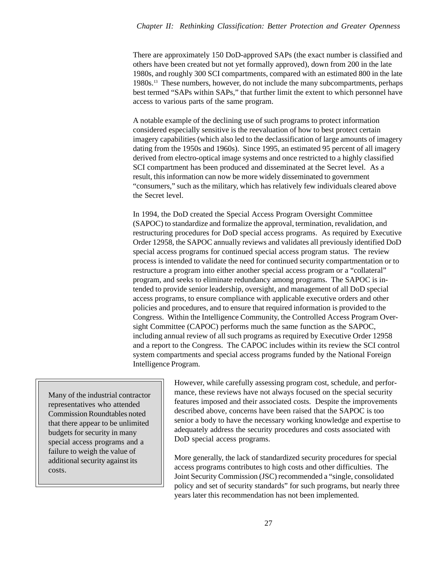There are approximately 150 DoD-approved SAPs (the exact number is classified and others have been created but not yet formally approved), down from 200 in the late 1980s, and roughly 300 SCI compartments, compared with an estimated 800 in the late 1980s.13 These numbers, however, do not include the many subcompartments, perhaps best termed "SAPs within SAPs," that further limit the extent to which personnel have access to various parts of the same program.

A notable example of the declining use of such programs to protect information considered especially sensitive is the reevaluation of how to best protect certain imagery capabilities (which also led to the declassification of large amounts of imagery dating from the 1950s and 1960s). Since 1995, an estimated 95 percent of all imagery derived from electro-optical image systems and once restricted to a highly classified SCI compartment has been produced and disseminated at the Secret level. As a result, this information can now be more widely disseminated to government "consumers," such as the military, which has relatively few individuals cleared above the Secret level.

In 1994, the DoD created the Special Access Program Oversight Committee (SAPOC) to standardize and formalize the approval, termination, revalidation, and restructuring procedures for DoD special access programs. As required by Executive Order 12958, the SAPOC annually reviews and validates all previously identified DoD special access programs for continued special access program status. The review process is intended to validate the need for continued security compartmentation or to restructure a program into either another special access program or a "collateral" program, and seeks to eliminate redundancy among programs. The SAPOC is intended to provide senior leadership, oversight, and management of all DoD special access programs, to ensure compliance with applicable executive orders and other policies and procedures, and to ensure that required information is provided to the Congress. Within the Intelligence Community, the Controlled Access Program Oversight Committee (CAPOC) performs much the same function as the SAPOC, including annual review of all such programs as required by Executive Order 12958 and a report to the Congress. The CAPOC includes within its review the SCI control system compartments and special access programs funded by the National Foreign Intelligence Program.

Many of the industrial contractor representatives who attended Commission Roundtables noted that there appear to be unlimited budgets for security in many special access programs and a failure to weigh the value of additional security against its costs.

However, while carefully assessing program cost, schedule, and performance, these reviews have not always focused on the special security features imposed and their associated costs. Despite the improvements described above, concerns have been raised that the SAPOC is too senior a body to have the necessary working knowledge and expertise to adequately address the security procedures and costs associated with DoD special access programs.

More generally, the lack of standardized security procedures for special access programs contributes to high costs and other difficulties. The Joint Security Commission (JSC) recommended a "single, consolidated policy and set of security standards" for such programs, but nearly three years later this recommendation has not been implemented.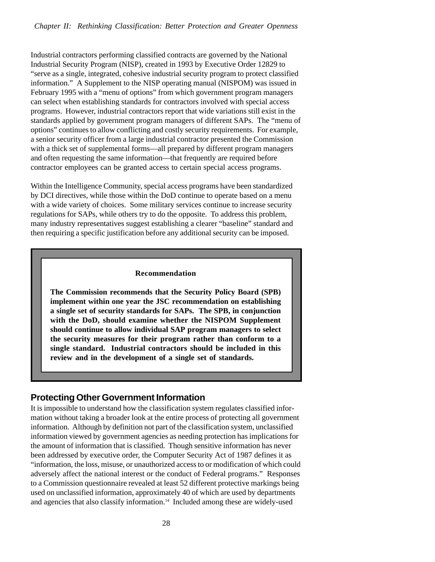Industrial contractors performing classified contracts are governed by the National Industrial Security Program (NISP), created in 1993 by Executive Order 12829 to "serve as a single, integrated, cohesive industrial security program to protect classified information." A Supplement to the NISP operating manual (NISPOM) was issued in February 1995 with a "menu of options" from which government program managers can select when establishing standards for contractors involved with special access programs. However, industrial contractors report that wide variations still exist in the standards applied by government program managers of different SAPs. The "menu of options" continues to allow conflicting and costly security requirements. For example, a senior security officer from a large industrial contractor presented the Commission with a thick set of supplemental forms—all prepared by different program managers and often requesting the same information—that frequently are required before contractor employees can be granted access to certain special access programs.

Within the Intelligence Community, special access programs have been standardized by DCI directives, while those within the DoD continue to operate based on a menu with a wide variety of choices. Some military services continue to increase security regulations for SAPs, while others try to do the opposite. To address this problem, many industry representatives suggest establishing a clearer "baseline" standard and then requiring a specific justification before any additional security can be imposed.

#### **Recommendation**

**The Commission recommends that the Security Policy Board (SPB) implement within one year the JSC recommendation on establishing a single set of security standards for SAPs. The SPB, in conjunction with the DoD, should examine whether the NISPOM Supplement should continue to allow individual SAP program managers to select the security measures for their program rather than conform to a single standard. Industrial contractors should be included in this review and in the development of a single set of standards.**

## **Protecting Other Government Information**

It is impossible to understand how the classification system regulates classified information without taking a broader look at the entire process of protecting all government information. Although by definition not part of the classification system, unclassified information viewed by government agencies as needing protection has implications for the amount of information that is classified. Though sensitive information has never been addressed by executive order, the Computer Security Act of 1987 defines it as "information, the loss, misuse, or unauthorized access to or modification of which could adversely affect the national interest or the conduct of Federal programs." Responses to a Commission questionnaire revealed at least 52 different protective markings being used on unclassified information, approximately 40 of which are used by departments and agencies that also classify information.<sup>14</sup> Included among these are widely-used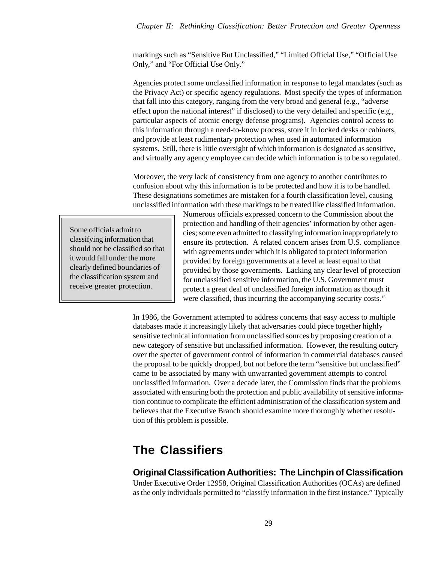#### *Chapter II: Rethinking Classification: Better Protection and Greater Openness*

markings such as "Sensitive But Unclassified," "Limited Official Use," "Official Use Only," and "For Official Use Only."

Agencies protect some unclassified information in response to legal mandates (such as the Privacy Act) or specific agency regulations. Most specify the types of information that fall into this category, ranging from the very broad and general (e.g., "adverse effect upon the national interest" if disclosed) to the very detailed and specific (e.g., particular aspects of atomic energy defense programs). Agencies control access to this information through a need-to-know process, store it in locked desks or cabinets, and provide at least rudimentary protection when used in automated information systems. Still, there is little oversight of which information is designated as sensitive, and virtually any agency employee can decide which information is to be so regulated.

Moreover, the very lack of consistency from one agency to another contributes to confusion about why this information is to be protected and how it is to be handled. These designations sometimes are mistaken for a fourth classification level, causing unclassified information with these markings to be treated like classified information.

Some officials admit to classifying information that should not be classified so that it would fall under the more clearly defined boundaries of the classification system and receive greater protection.

Numerous officials expressed concern to the Commission about the protection and handling of their agencies' information by other agencies; some even admitted to classifying information inappropriately to ensure its protection. A related concern arises from U.S. compliance with agreements under which it is obligated to protect information provided by foreign governments at a level at least equal to that provided by those governments. Lacking any clear level of protection for unclassified sensitive information, the U.S. Government must protect a great deal of unclassified foreign information as though it were classified, thus incurring the accompanying security costs.<sup>15</sup>

In 1986, the Government attempted to address concerns that easy access to multiple databases made it increasingly likely that adversaries could piece together highly sensitive technical information from unclassified sources by proposing creation of a new category of sensitive but unclassified information. However, the resulting outcry over the specter of government control of information in commercial databases caused the proposal to be quickly dropped, but not before the term "sensitive but unclassified" came to be associated by many with unwarranted government attempts to control unclassified information. Over a decade later, the Commission finds that the problems associated with ensuring both the protection and public availability of sensitive information continue to complicate the efficient administration of the classification system and believes that the Executive Branch should examine more thoroughly whether resolution of this problem is possible.

# **The Classifiers**

## **Original Classification Authorities: The Linchpin of Classification**

Under Executive Order 12958, Original Classification Authorities (OCAs) are defined as the only individuals permitted to "classify information in the first instance." Typically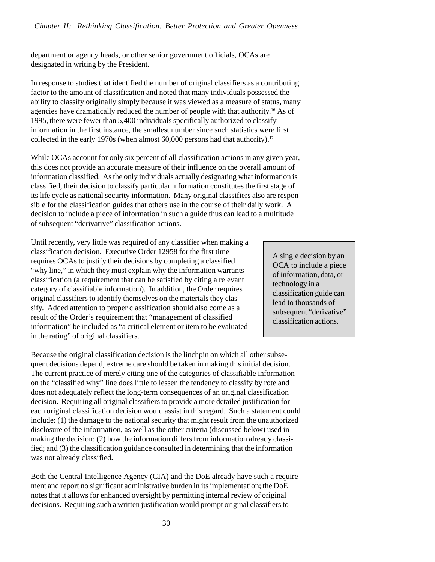department or agency heads, or other senior government officials, OCAs are designated in writing by the President.

In response to studies that identified the number of original classifiers as a contributing factor to the amount of classification and noted that many individuals possessed the ability to classify originally simply because it was viewed as a measure of status**,** many agencies have dramatically reduced the number of people with that authority.16 As of 1995, there were fewer than 5,400 individuals specifically authorized to classify information in the first instance, the smallest number since such statistics were first collected in the early 1970s (when almost  $60,000$  persons had that authority).<sup>17</sup>

While OCAs account for only six percent of all classification actions in any given year, this does not provide an accurate measure of their influence on the overall amount of information classified. As the only individuals actually designating what information is classified, their decision to classify particular information constitutes the first stage of its life cycle as national security information. Many original classifiers also are responsible for the classification guides that others use in the course of their daily work. A decision to include a piece of information in such a guide thus can lead to a multitude of subsequent "derivative" classification actions.

Until recently, very little was required of any classifier when making a classification decision. Executive Order 12958 for the first time requires OCAs to justify their decisions by completing a classified "why line," in which they must explain why the information warrants classification (a requirement that can be satisfied by citing a relevant category of classifiable information). In addition, the Order requires original classifiers to identify themselves on the materials they classify. Added attention to proper classification should also come as a result of the Order's requirement that "management of classified information" be included as "a critical element or item to be evaluated in the rating" of original classifiers.

A single decision by an OCA to include a piece of information, data, or technology in a classification guide can lead to thousands of subsequent "derivative" classification actions.

Because the original classification decision is the linchpin on which all other subsequent decisions depend, extreme care should be taken in making this initial decision. The current practice of merely citing one of the categories of classifiable information on the "classified why" line does little to lessen the tendency to classify by rote and does not adequately reflect the long-term consequences of an original classification decision. Requiring all original classifiers to provide a more detailed justification for each original classification decision would assist in this regard. Such a statement could include: (1) the damage to the national security that might result from the unauthorized disclosure of the information, as well as the other criteria (discussed below) used in making the decision; (2) how the information differs from information already classified; and (3) the classification guidance consulted in determining that the information was not already classified**.**

Both the Central Intelligence Agency (CIA) and the DoE already have such a requirement and report no significant administrative burden in its implementation; the DoE notes that it allows for enhanced oversight by permitting internal review of original decisions. Requiring such a written justification would prompt original classifiers to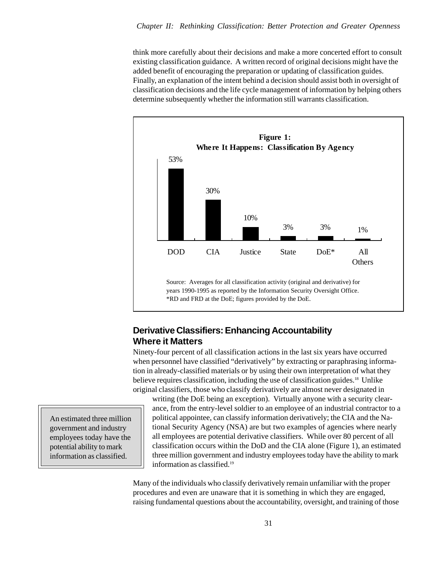think more carefully about their decisions and make a more concerted effort to consult existing classification guidance. A written record of original decisions might have the added benefit of encouraging the preparation or updating of classification guides. Finally, an explanation of the intent behind a decision should assist both in oversight of classification decisions and the life cycle management of information by helping others determine subsequently whether the information still warrants classification.



## **Derivative Classifiers: Enhancing Accountability Where it Matters**

Ninety-four percent of all classification actions in the last six years have occurred when personnel have classified "derivatively" by extracting or paraphrasing information in already-classified materials or by using their own interpretation of what they believe requires classification, including the use of classification guides.18 Unlike original classifiers, those who classify derivatively are almost never designated in

writing (the DoE being an exception). Virtually anyone with a security clearance, from the entry-level soldier to an employee of an industrial contractor to a political appointee, can classify information derivatively; the CIA and the National Security Agency (NSA) are but two examples of agencies where nearly all employees are potential derivative classifiers. While over 80 percent of all classification occurs within the DoD and the CIA alone (Figure 1), an estimated three million government and industry employees today have the ability to mark information as classified.<sup>19</sup>

Many of the individuals who classify derivatively remain unfamiliar with the proper procedures and even are unaware that it is something in which they are engaged, raising fundamental questions about the accountability, oversight, and training of those

An estimated three million government and industry employees today have the potential ability to mark information as classified.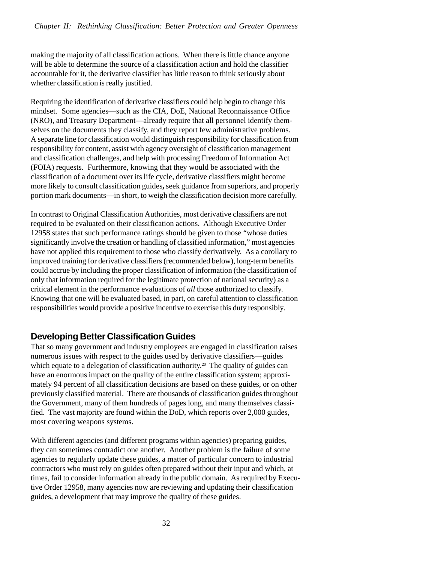making the majority of all classification actions. When there is little chance anyone will be able to determine the source of a classification action and hold the classifier accountable for it, the derivative classifier has little reason to think seriously about whether classification is really justified.

Requiring the identification of derivative classifiers could help begin to change this mindset. Some agencies—such as the CIA, DoE, National Reconnaissance Office (NRO), and Treasury Department—already require that all personnel identify themselves on the documents they classify, and they report few administrative problems. A separate line for classification would distinguish responsibility for classification from responsibility for content, assist with agency oversight of classification management and classification challenges, and help with processing Freedom of Information Act (FOIA) requests.Furthermore, knowing that they would be associated with the classification of a document over its life cycle, derivative classifiers might become more likely to consult classification guides**,** seek guidance from superiors, and properly portion mark documents—in short, to weigh the classification decision more carefully.

In contrast to Original Classification Authorities, most derivative classifiers are not required to be evaluated on their classification actions. Although Executive Order 12958 states that such performance ratings should be given to those "whose duties significantly involve the creation or handling of classified information," most agencies have not applied this requirement to those who classify derivatively. As a corollary to improved training for derivative classifiers (recommended below), long-term benefits could accrue by including the proper classification of information (the classification of only that information required for the legitimate protection of national security) as a critical element in the performance evaluations of *all* those authorized to classify. Knowing that one will be evaluated based, in part, on careful attention to classification responsibilities would provide a positive incentive to exercise this duty responsibly.

## **Developing Better Classification Guides**

That so many government and industry employees are engaged in classification raises numerous issues with respect to the guides used by derivative classifiers—guides which equate to a delegation of classification authority.<sup>20</sup> The quality of guides can have an enormous impact on the quality of the entire classification system; approximately 94 percent of all classification decisions are based on these guides, or on other previously classified material. There are thousands of classification guides throughout the Government, many of them hundreds of pages long, and many themselves classified. The vast majority are found within the DoD, which reports over 2,000 guides, most covering weapons systems.

With different agencies (and different programs within agencies) preparing guides, they can sometimes contradict one another. Another problem is the failure of some agencies to regularly update these guides, a matter of particular concern to industrial contractors who must rely on guides often prepared without their input and which, at times, fail to consider information already in the public domain. As required by Executive Order 12958, many agencies now are reviewing and updating their classification guides, a development that may improve the quality of these guides.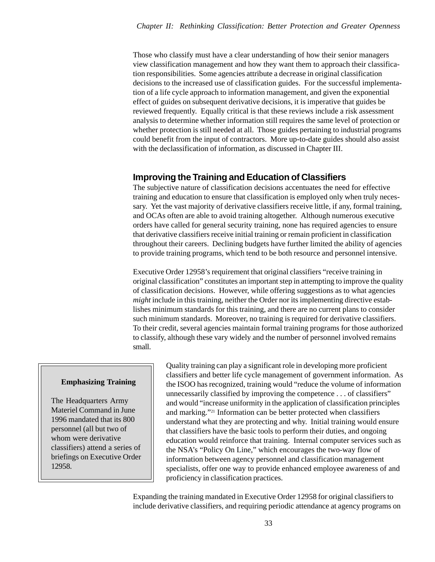Those who classify must have a clear understanding of how their senior managers view classification management and how they want them to approach their classification responsibilities. Some agencies attribute a decrease in original classification decisions to the increased use of classification guides. For the successful implementation of a life cycle approach to information management, and given the exponential effect of guides on subsequent derivative decisions, it is imperative that guides be reviewed frequently. Equally critical is that these reviews include a risk assessment analysis to determine whether information still requires the same level of protection or whether protection is still needed at all. Those guides pertaining to industrial programs could benefit from the input of contractors. More up-to-date guides should also assist with the declassification of information, as discussed in Chapter III.

## **Improving the Training and Education of Classifiers**

The subjective nature of classification decisions accentuates the need for effective training and education to ensure that classification is employed only when truly necessary. Yet the vast majority of derivative classifiers receive little, if any, formal training, and OCAs often are able to avoid training altogether. Although numerous executive orders have called for general security training, none has required agencies to ensure that derivative classifiers receive initial training or remain proficient in classification throughout their careers. Declining budgets have further limited the ability of agencies to provide training programs, which tend to be both resource and personnel intensive.

Executive Order 12958's requirement that original classifiers "receive training in original classification" constitutes an important step in attempting to improve the quality of classification decisions. However, while offering suggestions as to what agencies *might* include in this training, neither the Order nor its implementing directive establishes minimum standards for this training, and there are no current plans to consider such minimum standards. Moreover, no training is required for derivative classifiers. To their credit, several agencies maintain formal training programs for those authorized to classify, although these vary widely and the number of personnel involved remains small.

#### **Emphasizing Training**

The Headquarters Army Materiel Command in June 1996 mandated that its 800 personnel (all but two of whom were derivative classifiers) attend a series of briefings on Executive Order 12958.

Quality training can play a significant role in developing more proficient classifiers and better life cycle management of government information. As the ISOO has recognized, training would "reduce the volume of information unnecessarily classified by improving the competence . . . of classifiers" and would "increase uniformity in the application of classification principles and marking."21 Information can be better protected when classifiers understand what they are protecting and why. Initial training would ensure that classifiers have the basic tools to perform their duties, and ongoing education would reinforce that training. Internal computer services such as the NSA's "Policy On Line," which encourages the two-way flow of information between agency personnel and classification management specialists, offer one way to provide enhanced employee awareness of and proficiency in classification practices.

Expanding the training mandated in Executive Order 12958 for original classifiers to include derivative classifiers, and requiring periodic attendance at agency programs on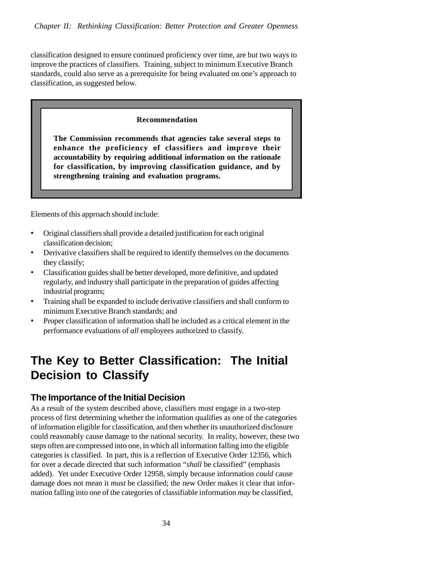classification designed to ensure continued proficiency over time, are but two ways to improve the practices of classifiers. Training, subject to minimum Executive Branch standards, could also serve as a prerequisite for being evaluated on one's approach to classification, as suggested below.

#### **Recommendation**

**The Commission recommends that agencies take several steps to enhance the proficiency of classifiers and improve their accountability by requiring additional information on the rationale for classification, by improving classification guidance, and by strengthening training and evaluation programs.**

Elements of this approach should include:

- Original classifiers shall provide a detailed justification for each original classification decision;
- Derivative classifiers shall be required to identify themselves on the documents they classify;
- Classification guides shall be better developed, more definitive, and updated regularly, and industry shall participate in the preparation of guides affecting industrial programs;
- Training shall be expanded to include derivative classifiers and shall conform to minimum Executive Branch standards; and
- Proper classification of information shall be included as a critical element in the performance evaluations of *all* employees authorized to classify.

# **The Key to Better Classification: The Initial Decision to Classify**

## **The Importance of the Initial Decision**

As a result of the system described above, classifiers must engage in a two-step process of first determining whether the information qualifies as one of the categories of information eligible for classification, and then whether its unauthorized disclosure could reasonably cause damage to the national security. In reality, however, these two steps often are compressed into one, in which all information falling into the eligible categories is classified. In part, this is a reflection of Executive Order 12356, which for over a decade directed that such information "*shall* be classified" (emphasis added). Yet under Executive Order 12958, simply because information *could* cause damage does not mean it *must* be classified; the new Order makes it clear that information falling into one of the categories of classifiable information *may* be classified,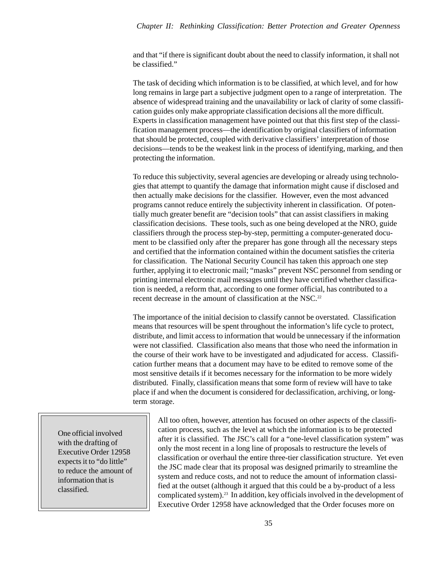and that "if there is significant doubt about the need to classify information, it shall not be classified."

The task of deciding which information is to be classified, at which level, and for how long remains in large part a subjective judgment open to a range of interpretation. The absence of widespread training and the unavailability or lack of clarity of some classification guides only make appropriate classification decisions all the more difficult. Experts in classification management have pointed out that this first step of the classification management process—the identification by original classifiers of information that should be protected, coupled with derivative classifiers' interpretation of those decisions—tends to be the weakest link in the process of identifying, marking, and then protecting the information.

To reduce this subjectivity, several agencies are developing or already using technologies that attempt to quantify the damage that information might cause if disclosed and then actually make decisions for the classifier. However, even the most advanced programs cannot reduce entirely the subjectivity inherent in classification. Of potentially much greater benefit are "decision tools" that can assist classifiers in making classification decisions. These tools, such as one being developed at the NRO, guide classifiers through the process step-by-step, permitting a computer-generated document to be classified only after the preparer has gone through all the necessary steps and certified that the information contained within the document satisfies the criteria for classification. The National Security Council has taken this approach one step further, applying it to electronic mail; "masks" prevent NSC personnel from sending or printing internal electronic mail messages until they have certified whether classification is needed, a reform that, according to one former official, has contributed to a recent decrease in the amount of classification at the NSC.<sup>22</sup>

The importance of the initial decision to classify cannot be overstated. Classification means that resources will be spent throughout the information's life cycle to protect, distribute, and limit access to information that would be unnecessary if the information were not classified. Classification also means that those who need the information in the course of their work have to be investigated and adjudicated for access. Classification further means that a document may have to be edited to remove some of the most sensitive details if it becomes necessary for the information to be more widely distributed. Finally, classification means that some form of review will have to take place if and when the document is considered for declassification, archiving, or longterm storage.

One official involved with the drafting of Executive Order 12958 expects it to "do little" to reduce the amount of information that is classified.

All too often, however, attention has focused on other aspects of the classification process*,* such as the level at which the information is to be protected after it is classified. The JSC's call for a "one-level classification system" was only the most recent in a long line of proposals to restructure the levels of classification or overhaul the entire three-tier classification structure. Yet even the JSC made clear that its proposal was designed primarily to streamline the system and reduce costs, and not to reduce the amount of information classified at the outset (although it argued that this could be a by-product of a less complicated system).23 In addition, key officials involved in the development of Executive Order 12958 have acknowledged that the Order focuses more on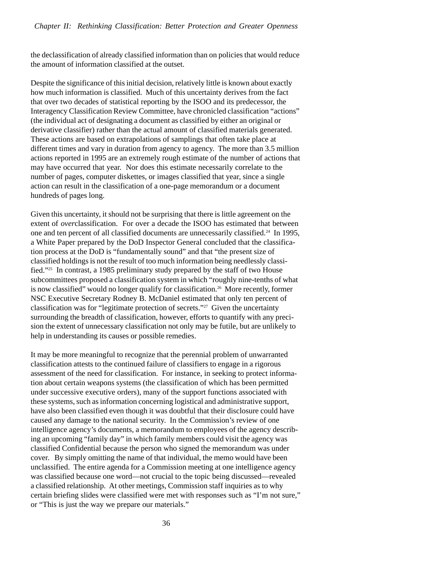the declassification of already classified information than on policies that would reduce the amount of information classified at the outset.

Despite the significance of this initial decision, relatively little is known about exactly how much information is classified. Much of this uncertainty derives from the fact that over two decades of statistical reporting by the ISOO and its predecessor, the Interagency Classification Review Committee, have chronicled classification "actions" (the individual act of designating a document as classified by either an original or derivative classifier) rather than the actual amount of classified materials generated. These actions are based on extrapolations of samplings that often take place at different times and vary in duration from agency to agency. The more than 3.5 million actions reported in 1995 are an extremely rough estimate of the number of actions that may have occurred that year. Nor does this estimate necessarily correlate to the number of pages, computer diskettes, or images classified that year, since a single action can result in the classification of a one-page memorandum or a document hundreds of pages long.

Given this uncertainty, it should not be surprising that there is little agreement on the extent of *over*classification. For over a decade the ISOO has estimated that between one and ten percent of all classified documents are unnecessarily classified.24 In 1995, a White Paper prepared by the DoD Inspector General concluded that the classification process at the DoD is "fundamentally sound" and that "the present size of classified holdings is not the result of too much information being needlessly classified."25 In contrast, a 1985 preliminary study prepared by the staff of two House subcommittees proposed a classification system in which "roughly nine-tenths of what is now classified" would no longer qualify for classification.26More recently, former NSC Executive Secretary Rodney B. McDaniel estimated that only ten percent of classification was for "legitimate protection of secrets."27 Given the uncertainty surrounding the breadth of classification, however, efforts to quantify with any precision the extent of unnecessary classification not only may be futile, but are unlikely to help in understanding its causes or possible remedies.

It may be more meaningful to recognize that the perennial problem of unwarranted classification attests to the continued failure of classifiers to engage in a rigorous assessment of the need for classification. For instance, in seeking to protect information about certain weapons systems (the classification of which has been permitted under successive executive orders), many of the support functions associated with these systems, such as information concerning logistical and administrative support, have also been classified even though it was doubtful that their disclosure could have caused any damage to the national security. In the Commission's review of one intelligence agency's documents, a memorandum to employees of the agency describing an upcoming "family day" in which family members could visit the agency was classified Confidential because the person who signed the memorandum was under cover. By simply omitting the name of that individual, the memo would have been unclassified. The entire agenda for a Commission meeting at one intelligence agency was classified because one word—not crucial to the topic being discussed—revealed a classified relationship. At other meetings, Commission staff inquiries as to why certain briefing slides were classified were met with responses such as "I'm not sure," or "This is just the way we prepare our materials."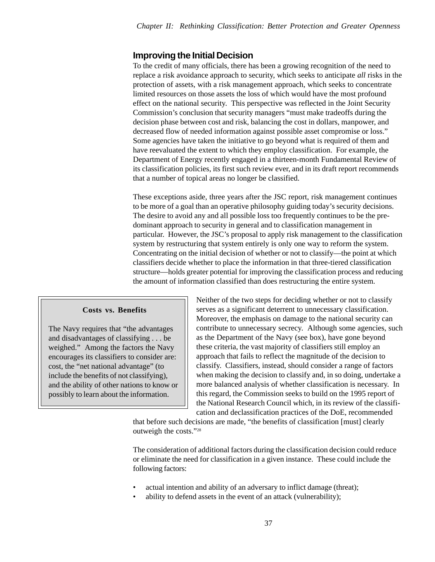## **Improving the Initial Decision**

To the credit of many officials, there has been a growing recognition of the need to replace a risk avoidance approach to security, which seeks to anticipate *all* risks in the protection of assets, with a risk management approach, which seeks to concentrate limited resources on those assets the loss of which would have the most profound effect on the national security. This perspective was reflected in the Joint Security Commission's conclusion that security managers "must make tradeoffs during the decision phase between cost and risk, balancing the cost in dollars, manpower, and decreased flow of needed information against possible asset compromise or loss." Some agencies have taken the initiative to go beyond what is required of them and have reevaluated the extent to which they employ classification. For example, the Department of Energy recently engaged in a thirteen-month Fundamental Review of its classification policies, its first such review ever, and in its draft report recommends that a number of topical areas no longer be classified.

These exceptions aside, three years after the JSC report, risk management continues to be more of a goal than an operative philosophy guiding today's security decisions. The desire to avoid any and all possible loss too frequently continues to be the predominant approach to security in general and to classification management in particular. However, the JSC's proposal to apply risk management to the classification system by restructuring that system entirely is only one way to reform the system. Concentrating on the initial decision of whether or not to classify—the point at which classifiers decide whether to place the information in that three-tiered classification structure—holds greater potential for improving the classification process and reducing the amount of information classified than does restructuring the entire system.

#### **Costs vs. Benefits**

The Navy requires that "the advantages and disadvantages of classifying . . . be weighed." Among the factors the Navy encourages its classifiers to consider are: cost, the "net national advantage" (to include the benefits of not classifying), and the ability of other nations to know or possibly to learn about the information.

Neither of the two steps for deciding whether or not to classify serves as a significant deterrent to unnecessary classification. Moreover, the emphasis on damage to the national security can contribute to unnecessary secrecy. Although some agencies, such as the Department of the Navy (see box), have gone beyond these criteria, the vast majority of classifiers still employ an approach that fails to reflect the magnitude of the decision to classify. Classifiers, instead, should consider a range of factors when making the decision to classify and, in so doing, undertake a more balanced analysis of whether classification is necessary. In this regard, the Commission seeks to build on the 1995 report of the National Research Council which, in its review of the classification and declassification practices of the DoE, recommended

that before such decisions are made, "the benefits of classification [must] clearly outweigh the costs."28

The consideration of additional factors during the classification decision could reduce or eliminate the need for classification in a given instance. These could include the following factors:

- actual intention and ability of an adversary to inflict damage (threat);
- ability to defend assets in the event of an attack (vulnerability);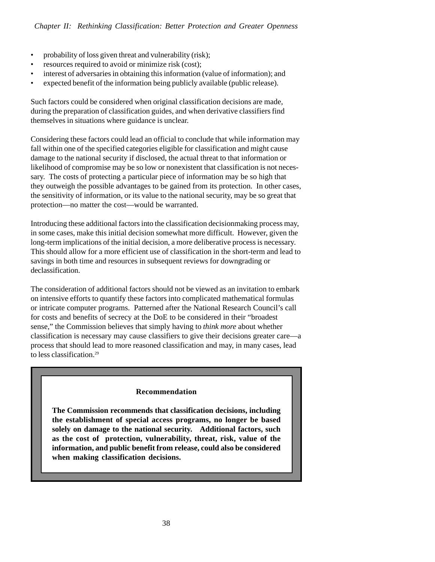- probability of loss given threat and vulnerability (risk);
- resources required to avoid or minimize risk (cost);
- interest of adversaries in obtaining this information (value of information); and
- expected benefit of the information being publicly available (public release).

Such factors could be considered when original classification decisions are made, during the preparation of classification guides, and when derivative classifiers find themselves in situations where guidance is unclear.

Considering these factors could lead an official to conclude that while information may fall within one of the specified categories eligible for classification and might cause damage to the national security if disclosed, the actual threat to that information or likelihood of compromise may be so low or nonexistent that classification is not necessary. The costs of protecting a particular piece of information may be so high that they outweigh the possible advantages to be gained from its protection. In other cases, the sensitivity of information, or its value to the national security, may be so great that protection—no matter the cost—would be warranted.

Introducing these additional factors into the classification decisionmaking process may, in some cases, make this initial decision somewhat more difficult. However, given the long-term implications of the initial decision, a more deliberative process is necessary. This should allow for a more efficient use of classification in the short-term and lead to savings in both time and resources in subsequent reviews for downgrading or declassification.

The consideration of additional factors should not be viewed as an invitation to embark on intensive efforts to quantify these factors into complicated mathematical formulas or intricate computer programs. Patterned after the National Research Council's call for costs and benefits of secrecy at the DoE to be considered in their "broadest sense," the Commission believes that simply having to *think more* about whether classification is necessary may cause classifiers to give their decisions greater care—a process that should lead to more reasoned classification and may, in many cases, lead to less classification.29

#### **Recommendation**

**The Commission recommends that classification decisions, including the establishment of special access programs, no longer be based solely on damage to the national security. Additional factors, such as the cost of protection, vulnerability, threat, risk, value of the information, and public benefit from release, could also be considered when making classification decisions.**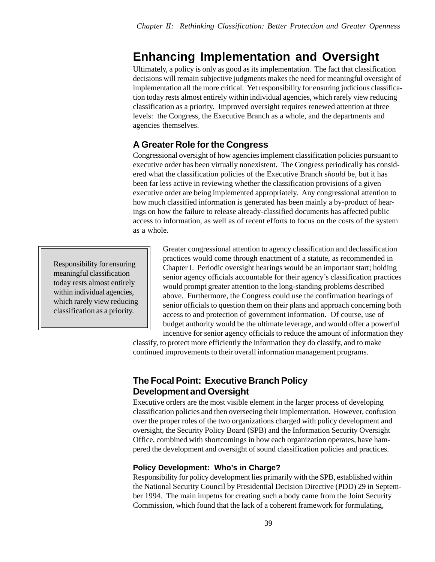# **Enhancing Implementation and Oversight**

Ultimately, a policy is only as good as its implementation. The fact that classification decisions will remain subjective judgments makes the need for meaningful oversight of implementation all the more critical. Yet responsibility for ensuring judicious classification today rests almost entirely within individual agencies, which rarely view reducing classification as a priority. Improved oversight requires renewed attention at three levels: the Congress, the Executive Branch as a whole, and the departments and agencies themselves.

## **A Greater Role for the Congress**

Congressional oversight of how agencies implement classification policies pursuant to executive order has been virtually nonexistent. The Congress periodically has considered what the classification policies of the Executive Branch s*hould* be, but it has been far less active in reviewing whether the classification provisions of a given executive order are being implemented appropriately. Any congressional attention to how much classified information is generated has been mainly a by-product of hearings on how the failure to release already-classified documents has affected public access to information, as well as of recent efforts to focus on the costs of the system as a whole.

Responsibility for ensuring meaningful classification today rests almost entirely within individual agencies, which rarely view reducing classification as a priority.

Greater congressional attention to agency classification and declassification practices would come through enactment of a statute, as recommended in Chapter I. Periodic oversight hearings would be an important start; holding senior agency officials accountable for their agency's classification practices would prompt greater attention to the long-standing problems described above.Furthermore, the Congress could use the confirmation hearings of senior officials to question them on their plans and approach concerning both access to and protection of government information. Of course, use of budget authority would be the ultimate leverage, and would offer a powerful incentive for senior agency officials to reduce the amount of information they

classify, to protect more efficiently the information they do classify, and to make continued improvements to their overall information management programs.

## **The Focal Point: Executive Branch Policy Development and Oversight**

Executive orders are the most visible element in the larger process of developing classification policies and then overseeing their implementation. However, confusion over the proper roles of the two organizations charged with policy development and oversight, the Security Policy Board (SPB) and the Information Security Oversight Office, combined with shortcomings in how each organization operates, have hampered the development and oversight of sound classification policies and practices.

## **Policy Development: Who's in Charge?**

Responsibility for policy development lies primarily with the SPB, established within the National Security Council by Presidential Decision Directive (PDD) 29 in September 1994. The main impetus for creating such a body came from the Joint Security Commission, which found that the lack of a coherent framework for formulating,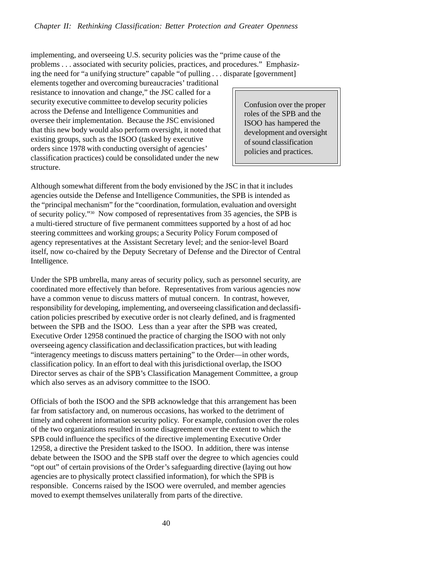implementing, and overseeing U.S. security policies was the "prime cause of the problems . . . associated with security policies, practices, and procedures." Emphasizing the need for "a unifying structure" capable "of pulling . . . disparate [government]

elements together and overcoming bureaucracies' traditional resistance to innovation and change," the JSC called for a security executive committee to develop security policies across the Defense and Intelligence Communities and oversee their implementation. Because the JSC envisioned that this new body would also perform oversight, it noted that existing groups, such as the ISOO (tasked by executive orders since 1978 with conducting oversight of agencies' classification practices) could be consolidated under the new structure.

Confusion over the proper roles of the SPB and the ISOO has hampered the development and oversight of sound classification policies and practices.

Although somewhat different from the body envisioned by the JSC in that it includes agencies outside the Defense and Intelligence Communities, the SPB is intended as the "principal mechanism" for the "coordination, formulation, evaluation and oversight of security policy."30 Now composed of representatives from 35 agencies, the SPB is a multi-tiered structure of five permanent committees supported by a host of ad hoc steering committees and working groups; a Security Policy Forum composed of agency representatives at the Assistant Secretary level; and the senior-level Board itself, now co-chaired by the Deputy Secretary of Defense and the Director of Central Intelligence.

Under the SPB umbrella, many areas of security policy, such as personnel security, are coordinated more effectively than before. Representatives from various agencies now have a common venue to discuss matters of mutual concern. In contrast, however, responsibility for developing, implementing, and overseeing classification and declassification policies prescribed by executive order is not clearly defined, and is fragmented between the SPB and the ISOO. Less than a year after the SPB was created, Executive Order 12958 continued the practice of charging the ISOO with not only overseeing agency classification and declassification practices, but with leading "interagency meetings to discuss matters pertaining" to the Order—in other words, classification policy. In an effort to deal with this jurisdictional overlap, the ISOO Director serves as chair of the SPB's Classification Management Committee, a group which also serves as an advisory committee to the ISOO.

Officials of both the ISOO and the SPB acknowledge that this arrangement has been far from satisfactory and, on numerous occasions, has worked to the detriment of timely and coherent information security policy. For example, confusion over the roles of the two organizations resulted in some disagreement over the extent to which the SPB could influence the specifics of the directive implementing Executive Order 12958, a directive the President tasked to the ISOO. In addition, there was intense debate between the ISOO and the SPB staff over the degree to which agencies could "opt out" of certain provisions of the Order's safeguarding directive (laying out how agencies are to physically protect classified information), for which the SPB is responsible. Concerns raised by the ISOO were overruled, and member agencies moved to exempt themselves unilaterally from parts of the directive.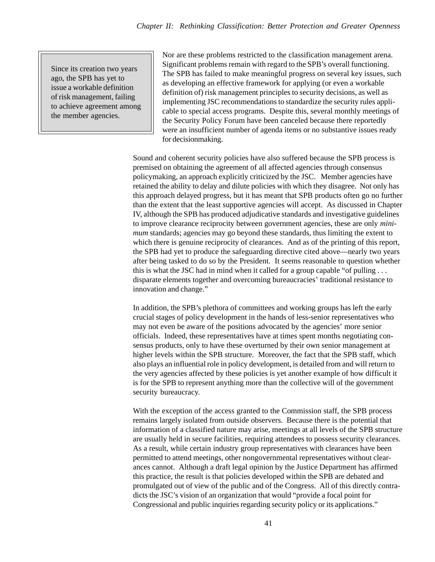Since its creation two years ago, the SPB has yet to issue a workable definition of risk management, failing to achieve agreement among the member agencies.

Nor are these problems restricted to the classification management arena. Significant problems remain with regard to the SPB's overall functioning. The SPB has failed to make meaningful progress on several key issues, such as developing an effective framework for applying (or even a workable definition of) risk management principles to security decisions, as well as implementing JSC recommendations to standardize the security rules applicable to special access programs. Despite this, several monthly meetings of the Security Policy Forum have been canceled because there reportedly were an insufficient number of agenda items or no substantive issues ready for decisionmaking.

Sound and coherent security policies have also suffered because the SPB process is premised on obtaining the agreement of all affected agencies through consensus policymaking, an approach explicitly criticized by the JSC. Member agencies have retained the ability to delay and dilute policies with which they disagree. Not only has this approach delayed progress, but it has meant that SPB products often go no further than the extent that the least supportive agencies will accept. As discussed in Chapter IV, although the SPB has produced adjudicative standards and investigative guidelines to improve clearance reciprocity between government agencies, these are only *minimum* standards; agencies may go beyond these standards, thus limiting the extent to which there is genuine reciprocity of clearances. And as of the printing of this report, the SPB had yet to produce the safeguarding directive cited above—nearly two years after being tasked to do so by the President. It seems reasonable to question whether this is what the JSC had in mind when it called for a group capable "of pulling  $\dots$ disparate elements together and overcoming bureaucracies' traditional resistance to innovation and change."

In addition, the SPB's plethora of committees and working groups has left the early crucial stages of policy development in the hands of less-senior representatives who may not even be aware of the positions advocated by the agencies' more senior officials. Indeed, these representatives have at times spent months negotiating consensus products, only to have these overturned by their own senior management at higher levels within the SPB structure. Moreover, the fact that the SPB staff, which also plays an influential role in policy development, is detailed from and will return to the very agencies affected by these policies is yet another example of how difficult it is for the SPB to represent anything more than the collective will of the government security bureaucracy.

With the exception of the access granted to the Commission staff, the SPB process remains largely isolated from outside observers. Because there is the potential that information of a classified nature may arise, meetings at all levels of the SPB structure are usually held in secure facilities, requiring attendees to possess security clearances. As a result, while certain industry group representatives with clearances have been permitted to attend meetings, other nongovernmental representatives without clearances cannot. Although a draft legal opinion by the Justice Department has affirmed this practice, the result is that policies developed within the SPB are debated and promulgated out of view of the public and of the Congress. All of this directly contradicts the JSC's vision of an organization that would "provide a focal point for Congressional and public inquiries regarding security policy or its applications."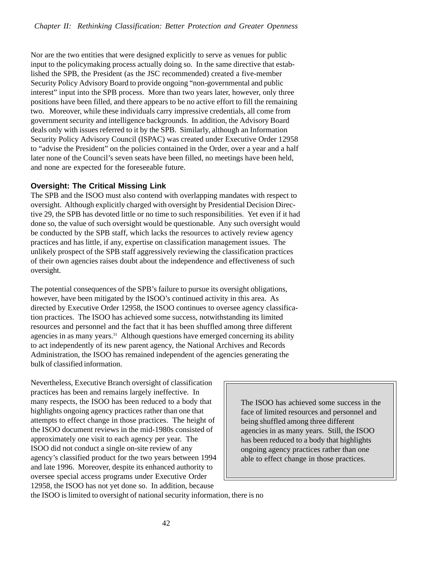Nor are the two entities that were designed explicitly to serve as venues for public input to the policymaking process actually doing so. In the same directive that established the SPB, the President (as the JSC recommended) created a five-member Security Policy Advisory Board to provide ongoing "non-governmental and public interest" input into the SPB process. More than two years later, however, only three positions have been filled, and there appears to be no active effort to fill the remaining two. Moreover, while these individuals carry impressive credentials, all come from government security and intelligence backgrounds. In addition, the Advisory Board deals only with issues referred to it by the SPB. Similarly, although an Information Security Policy Advisory Council (ISPAC) was created under Executive Order 12958 to "advise the President" on the policies contained in the Order, over a year and a half later none of the Council's seven seats have been filled, no meetings have been held, and none are expected for the foreseeable future.

#### **Oversight: The Critical Missing Link**

The SPB and the ISOO must also contend with overlapping mandates with respect to oversight. Although explicitly charged with oversight by Presidential Decision Directive 29, the SPB has devoted little or no time to such responsibilities. Yet even if it had done so, the value of such oversight would be questionable. Any such oversight would be conducted by the SPB staff, which lacks the resources to actively review agency practices and has little, if any, expertise on classification management issues. The unlikely prospect of the SPB staff aggressively reviewing the classification practices of their own agencies raises doubt about the independence and effectiveness of such oversight.

The potential consequences of the SPB's failure to pursue its oversight obligations, however, have been mitigated by the ISOO's continued activity in this area. As directed by Executive Order 12958, the ISOO continues to oversee agency classification practices. The ISOO has achieved some success, notwithstanding its limited resources and personnel and the fact that it has been shuffled among three different agencies in as many years.<sup>31</sup> Although questions have emerged concerning its ability to act independently of its new parent agency, the National Archives and Records Administration, the ISOO has remained independent of the agencies generating the bulk of classified information.

Nevertheless, Executive Branch oversight of classification practices has been and remains largely ineffective. In many respects, the ISOO has been reduced to a body that highlights ongoing agency practices rather than one that attempts to effect change in those practices. The height of the ISOO document reviews in the mid-1980s consisted of approximately one visit to each agency per year. The ISOO did not conduct a single on-site review of any agency's classified product for the two years between 1994 and late 1996.Moreover, despite its enhanced authority to oversee special access programs under Executive Order 12958, the ISOO has not yet done so. In addition, because

The ISOO has achieved some success in the face of limited resources and personnel and being shuffled among three different agencies in as many years. Still, the ISOO has been reduced to a body that highlights ongoing agency practices rather than one able to effect change in those practices.

the ISOO is limited to oversight of national security information, there is no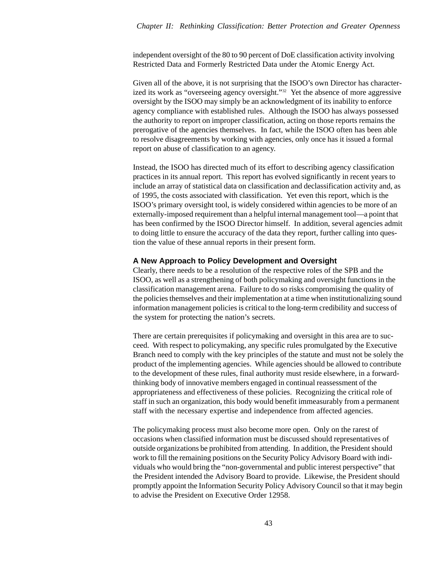independent oversight of the 80 to 90 percent of DoE classification activity involving Restricted Data and Formerly Restricted Data under the Atomic Energy Act.

Given all of the above, it is not surprising that the ISOO's own Director has characterized its work as "overseeing agency oversight."32 Yet the absence of more aggressive oversight by the ISOO may simply be an acknowledgment of its inability to enforce agency compliance with established rules. Although the ISOO has always possessed the authority to report on improper classification, acting on those reports remains the prerogative of the agencies themselves. In fact, while the ISOO often has been able to resolve disagreements by working with agencies, only once has it issued a formal report on abuse of classification to an agency.

Instead, the ISOO has directed much of its effort to describing agency classification practices in its annual report. This report has evolved significantly in recent years to include an array of statistical data on classification and declassification activity and, as of 1995, the costs associated with classification. Yet even this report, which is the ISOO's primary oversight tool, is widely considered within agencies to be more of an externally-imposed requirement than a helpful internal management tool—a point that has been confirmed by the ISOO Director himself. In addition, several agencies admit to doing little to ensure the accuracy of the data they report, further calling into question the value of these annual reports in their present form.

#### **A New Approach to Policy Development and Oversight**

Clearly, there needs to be a resolution of the respective roles of the SPB and the ISOO, as well as a strengthening of both policymaking and oversight functions in the classification management arena. Failure to do so risks compromising the quality of the policies themselves and their implementation at a time when institutionalizing sound information management policies is critical to the long-term credibility and success of the system for protecting the nation's secrets.

There are certain prerequisites if policymaking and oversight in this area are to succeed. With respect to policymaking, any specific rules promulgated by the Executive Branch need to comply with the key principles of the statute and must not be solely the product of the implementing agencies. While agencies should be allowed to contribute to the development of these rules, final authority must reside elsewhere, in a forwardthinking body of innovative members engaged in continual reassessment of the appropriateness and effectiveness of these policies. Recognizing the critical role of staff in such an organization, this body would benefit immeasurably from a permanent staff with the necessary expertise and independence from affected agencies.

The policymaking process must also become more open. Only on the rarest of occasions when classified information must be discussed should representatives of outside organizations be prohibited from attending. In addition, the President should work to fill the remaining positions on the Security Policy Advisory Board with individuals who would bring the "non-governmental and public interest perspective" that the President intended the Advisory Board to provide. Likewise, the President should promptly appoint the Information Security Policy Advisory Council so that it may begin to advise the President on Executive Order 12958.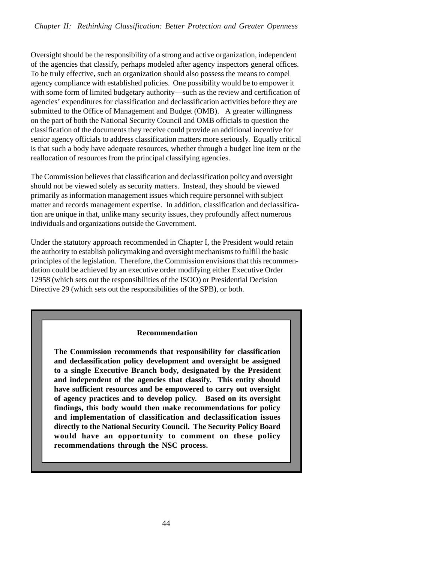Oversight should be the responsibility of a strong and active organization, independent of the agencies that classify, perhaps modeled after agency inspectors general offices. To be truly effective, such an organization should also possess the means to compel agency compliance with established policies. One possibility would be to empower it with some form of limited budgetary authority—such as the review and certification of agencies' expenditures for classification and declassification activities before they are submitted to the Office of Management and Budget (OMB). A greater willingness on the part of both the National Security Council and OMB officials to question the classification of the documents they receive could provide an additional incentive for senior agency officials to address classification matters more seriously. Equally critical is that such a body have adequate resources, whether through a budget line item or the reallocation of resources from the principal classifying agencies.

The Commission believes that classification and declassification policy and oversight should not be viewed solely as security matters. Instead, they should be viewed primarily as information management issues which require personnel with subject matter and records management expertise. In addition, classification and declassification are unique in that, unlike many security issues, they profoundly affect numerous individuals and organizations outside the Government.

Under the statutory approach recommended in Chapter I, the President would retain the authority to establish policymaking and oversight mechanisms to fulfill the basic principles of the legislation. Therefore, the Commission envisions that this recommendation could be achieved by an executive order modifying either Executive Order 12958 (which sets out the responsibilities of the ISOO) or Presidential Decision Directive 29 (which sets out the responsibilities of the SPB), or both.

#### **Recommendation**

**The Commission recommends that responsibility for classification and declassification policy development and oversight be assigned to a single Executive Branch body, designated by the President and independent of the agencies that classify. This entity should have sufficient resources and be empowered to carry out oversight of agency practices and to develop policy. Based on its oversight findings, this body would then make recommendations for policy and implementation of classification and declassification issues directly to the National Security Council. The Security Policy Board would have an opportunity to comment on these policy recommendations through the NSC process.**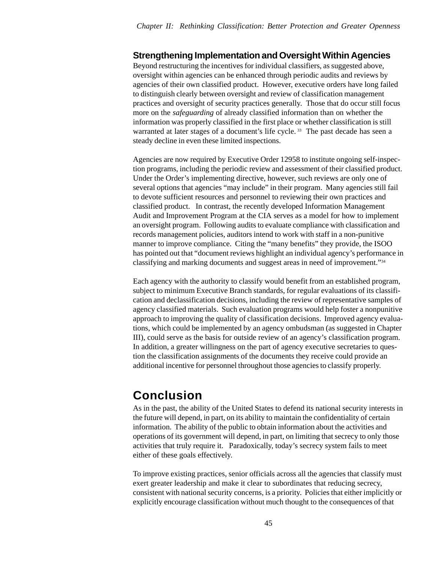## **Strengthening Implementation and Oversight Within Agencies**

Beyond restructuring the incentives for individual classifiers, as suggested above, oversight within agencies can be enhanced through periodic audits and reviews by agencies of their own classified product. However, executive orders have long failed to distinguish clearly between oversight and review of classification management practices and oversight of security practices generally. Those that do occur still focus more on the *safeguarding* of already classified information than on whether the information was properly classified in the first place or whether classification is still warranted at later stages of a document's life cycle.<sup>33</sup> The past decade has seen a steady decline in even these limited inspections.

Agencies are now required by Executive Order 12958 to institute ongoing self-inspection programs, including the periodic review and assessment of their classified product. Under the Order's implementing directive, however, such reviews are only one of several options that agencies "may include" in their program.Many agencies still fail to devote sufficient resources and personnel to reviewing their own practices and classified product. In contrast, the recently developed Information Management Audit and Improvement Program at the CIA serves as a model for how to implement an oversight program. Following audits to evaluate compliance with classification and records management policies, auditors intend to work with staff in a non-punitive manner to improve compliance. Citing the "many benefits" they provide, the ISOO has pointed out that "document reviews highlight an individual agency's performance in classifying and marking documents and suggest areas in need of improvement."34

Each agency with the authority to classify would benefit from an established program, subject to minimum Executive Branch standards, for regular evaluations of its classification and declassification decisions, including the review of representative samples of agency classified materials. Such evaluation programs would help foster a nonpunitive approach to improving the quality of classification decisions. Improved agency evaluations, which could be implemented by an agency ombudsman (as suggested in Chapter III), could serve as the basis for outside review of an agency's classification program. In addition, a greater willingness on the part of agency executive secretaries to question the classification assignments of the documents they receive could provide an additional incentive for personnel throughout those agencies to classify properly.

# **Conclusion**

As in the past, the ability of the United States to defend its national security interests in the future will depend, in part, on its ability to maintain the confidentiality of certain information. The ability of the public to obtain information about the activities and operations of its government will depend, in part, on limiting that secrecy to only those activities that truly require it. Paradoxically, today's secrecy system fails to meet either of these goals effectively.

To improve existing practices, senior officials across all the agencies that classify must exert greater leadership and make it clear to subordinates that reducing secrecy, consistent with national security concerns, is a priority. Policies that either implicitly or explicitly encourage classification without much thought to the consequences of that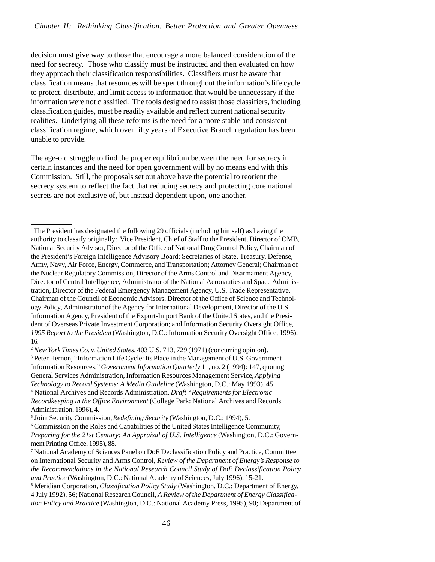decision must give way to those that encourage a more balanced consideration of the need for secrecy. Those who classify must be instructed and then evaluated on how they approach their classification responsibilities. Classifiers must be aware that classification means that resources will be spent throughout the information's life cycle to protect, distribute, and limit access to information that would be unnecessary if the information were not classified. The tools designed to assist those classifiers, including classification guides, must be readily available and reflect current national security realities. Underlying all these reforms is the need for a more stable and consistent classification regime, which over fifty years of Executive Branch regulation has been unable to provide.

The age-old struggle to find the proper equilibrium between the need for secrecy in certain instances and the need for open government will by no means end with this Commission. Still, the proposals set out above have the potential to reorient the secrecy system to reflect the fact that reducing secrecy and protecting core national secrets are not exclusive of, but instead dependent upon, one another.

<sup>2</sup> *New York Times Co. v. United States*, 403 U.S. 713, 729 (1971) (concurring opinion). <sup>3</sup> Peter Hernon, "Information Life Cycle: Its Place in the Management of U.S. Government Information Resources," *Government Information Quarterly* 11, no. 2 (1994): 147, quoting General Services Administration, Information Resources Management Service, *Applying Technology to Record Systems: A Media Guideline* (Washington, D.C.: May 1993), 45. 4 National Archives and Records Administration, *Draft "Requirements for Electronic Recordkeeping in the Office Environment* (College Park: National Archives and Records Administration, 1996), 4.

5 Joint Security Commission, *Redefining Security* (Washington, D.C.: 1994), 5.

<sup>6</sup> Commission on the Roles and Capabilities of the United States Intelligence Community, *Preparing for the 21st Century: An Appraisal of U.S. Intelligence* (Washington, D.C.: Government Printing Office, 1995), 88.

7 National Academy of Sciences Panel on DoE Declassification Policy and Practice, Committee on International Security and Arms Control, *Review of the Department of Energy's Response to the Recommendations in the National Research Council Study of DoE Declassification Policy and Practice* (Washington, D.C.: National Academy of Sciences, July 1996), 15-21.

8 Meridian Corporation, *Classification Policy Study* (Washington, D.C.: Department of Energy, 4 July 1992), 56; National Research Council, *A Review of the Department of Energy Classification Policy and Practice* (Washington, D.C.: National Academy Press, 1995), 90; Department of

<sup>&</sup>lt;sup>1</sup> The President has designated the following 29 officials (including himself) as having the authority to classify originally: Vice President, Chief of Staff to the President, Director of OMB, National Security Advisor, Director of the Office of National Drug Control Policy, Chairman of the President's Foreign Intelligence Advisory Board; Secretaries of State, Treasury, Defense, Army, Navy, Air Force, Energy, Commerce, and Transportation; Attorney General; Chairman of the Nuclear Regulatory Commission, Director of the Arms Control and Disarmament Agency, Director of Central Intelligence, Administrator of the National Aeronautics and Space Administration, Director of the Federal Emergency Management Agency, U.S. Trade Representative, Chairman of the Council of Economic Advisors, Director of the Office of Science and Technology Policy, Administrator of the Agency for International Development, Director of the U.S. Information Agency, President of the Export-Import Bank of the United States, and the President of Overseas Private Investment Corporation; and Information Security Oversight Office, *1995 Report to the President* (Washington, D.C.: Information Security Oversight Office, 1996), 16.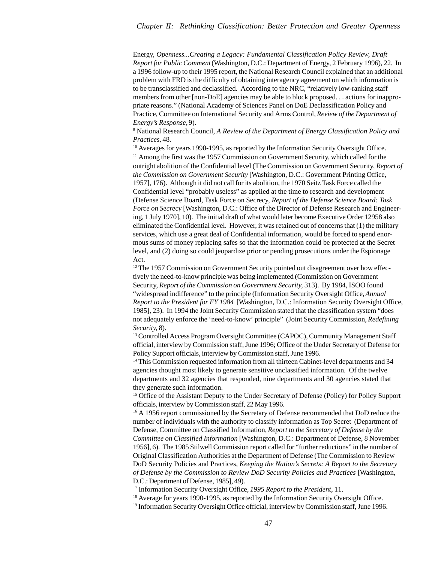#### *Chapter II: Rethinking Classification: Better Protection and Greater Openness*

Energy, *Openness...Creating a Legacy: Fundamental Classification Policy Review, Draft Report for Public Comment* (Washington, D.C.: Department of Energy, 2 February 1996), 22. In a 1996 follow-up to their 1995 report, the National Research Council explained that an additional problem with FRD is the difficulty of obtaining interagency agreement on which information is to be transclassified and declassified. According to the NRC, "relatively low-ranking staff members from other [non-DoE] agencies may be able to block proposed. . . actions for inappropriate reasons." (National Academy of Sciences Panel on DoE Declassification Policy and Practice, Committee on International Security and Arms Control, *Review of the Department of Energy's Response,* 9).

9 National Research Council, *A Review of the Department of Energy Classification Policy and Practices*, 48.

<sup>10</sup> Averages for years 1990-1995, as reported by the Information Security Oversight Office. <sup>11</sup> Among the first was the 1957 Commission on Government Security, which called for the outright abolition of the Confidential level (The Commission on Government Security, *Report of the Commission on Government Security* [Washington, D.C.: Government Printing Office, 1957], 176). Although it did not call for its abolition, the 1970 Seitz Task Force called the Confidential level "probably useless" as applied at the time to research and development (Defense Science Board, Task Force on Secrecy, *Report of the Defense Science Board: Task Force on Secrecy* [Washington, D.C.: Office of the Director of Defense Research and Engineering, 1 July 1970], 10). The initial draft of what would later become Executive Order 12958 also eliminated the Confidential level. However, it was retained out of concerns that (1) the military services, which use a great deal of Confidential information, would be forced to spend enormous sums of money replacing safes so that the information could be protected at the Secret level, and (2) doing so could jeopardize prior or pending prosecutions under the Espionage Act.

<sup>12</sup> The 1957 Commission on Government Security pointed out disagreement over how effectively the need-to-know principle was being implemented (Commission on Government Security, *Report of the Commission on Government Security,* 313). By 1984, ISOO found "widespread indifference" to the principle (Information Security Oversight Office, *Annual Report to the President for FY 1984* [Washington, D.C.: Information Security Oversight Office, 1985], 23). In 1994 the Joint Security Commission stated that the classification system "does not adequately enforce the 'need-to-know' principle" (Joint Security Commission, *Redefining Security,* 8).

<sup>13</sup> Controlled Access Program Oversight Committee (CAPOC), Community Management Staff official, interview by Commission staff, June 1996; Office of the Under Secretary of Defense for Policy Support officials, interview by Commission staff, June 1996.

<sup>14</sup> This Commission requested information from all thirteen Cabinet-level departments and 34 agencies thought most likely to generate sensitive unclassified information. Of the twelve departments and 32 agencies that responded, nine departments and 30 agencies stated that they generate such information.

<sup>15</sup> Office of the Assistant Deputy to the Under Secretary of Defense (Policy) for Policy Support officials, interview by Commission staff, 22 May 1996.

<sup>16</sup> A 1956 report commissioned by the Secretary of Defense recommended that DoD reduce the number of individuals with the authority to classify information as Top Secret (Department of Defense, Committee on Classified Information, *Report to the Secretary of Defense by the Committee on Classified Information* [Washington, D.C.: Department of Defense, 8 November 1956], 6). The 1985 Stilwell Commission report called for "further reductions" in the number of Original Classification Authorities at the Department of Defense (The Commission to Review DoD Security Policies and Practices, *Keeping the Nation's Secrets: A Report to the Secretary of Defense by the Commission to Review DoD Security Policies and Practices* [Washington, D.C.: Department of Defense, 1985], 49).

17 Information Security Oversight Office, *1995 Report to the President*, 11.

<sup>18</sup> Average for years 1990-1995, as reported by the Information Security Oversight Office.

<sup>19</sup> Information Security Oversight Office official, interview by Commission staff, June 1996.